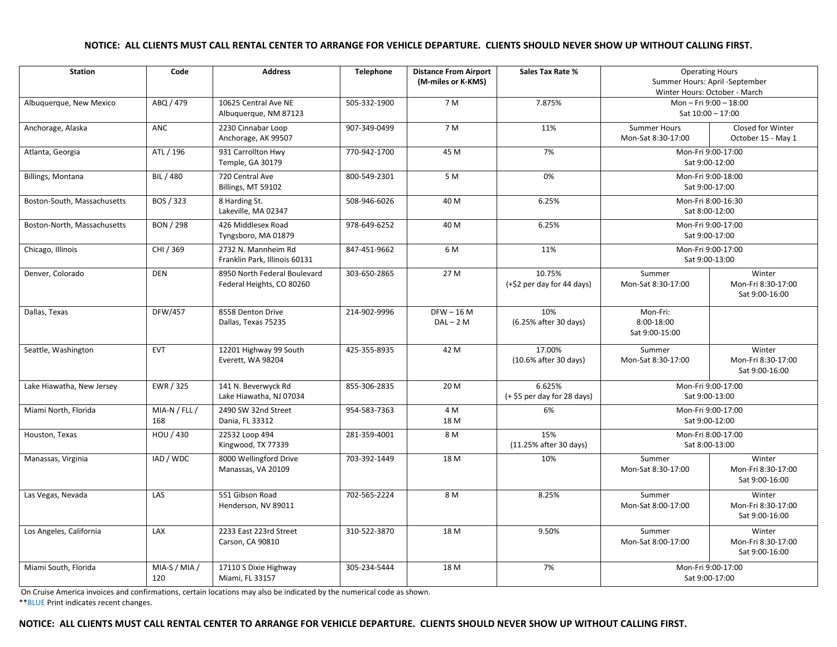## **NOTICE: ALL CLIENTS MUST CALL RENTAL CENTER TO ARRANGE FOR VEHICLE DEPARTURE. CLIENTS SHOULD NEVER SHOW UP WITHOUT CALLING FIRST.**

| <b>Station</b>              | Code                 | <b>Address</b>                                            | <b>Telephone</b> | <b>Distance From Airport</b><br>(M-miles or K-KMS) | <b>Sales Tax Rate %</b>                | <b>Operating Hours</b><br>Summer Hours: April -September<br>Winter Hours: October - March |                                                |
|-----------------------------|----------------------|-----------------------------------------------------------|------------------|----------------------------------------------------|----------------------------------------|-------------------------------------------------------------------------------------------|------------------------------------------------|
| Albuquerque, New Mexico     | ABQ / 479            | 10625 Central Ave NE<br>Albuquerque, NM 87123             | 505-332-1900     | 7 M                                                | 7.875%                                 | Mon-Fri 9:00-18:00<br>Sat 10:00 - 17:00                                                   |                                                |
| Anchorage, Alaska           | <b>ANC</b>           | 2230 Cinnabar Loop<br>Anchorage, AK 99507                 | 907-349-0499     | 7 M                                                | 11%                                    | <b>Summer Hours</b><br>Mon-Sat 8:30-17:00                                                 | Closed for Winter<br>October 15 - May 1        |
| Atlanta, Georgia            | ATL / 196            | 931 Carrollton Hwy<br>Temple, GA 30179                    | 770-942-1700     | 45 M                                               | 7%                                     | Mon-Fri 9:00-17:00<br>Sat 9:00-12:00                                                      |                                                |
| Billings, Montana           | BIL / 480            | 720 Central Ave<br>Billings, MT 59102                     | 800-549-2301     | 5 M                                                | 0%                                     | Mon-Fri 9:00-18:00<br>Sat 9:00-17:00                                                      |                                                |
| Boston-South, Massachusetts | BOS / 323            | 8 Harding St.<br>Lakeville, MA 02347                      | 508-946-6026     | 40 M                                               | 6.25%                                  | Mon-Fri 8:00-16:30<br>Sat 8:00-12:00                                                      |                                                |
| Boston-North, Massachusetts | <b>BON / 298</b>     | 426 Middlesex Road<br>Tyngsboro, MA 01879                 | 978-649-6252     | 40 M                                               | 6.25%                                  | Mon-Fri 9:00-17:00<br>Sat 9:00-17:00                                                      |                                                |
| Chicago, Illinois           | CHI / 369            | 2732 N. Mannheim Rd<br>Franklin Park. Illinois 60131      | 847-451-9662     | 6 M                                                | 11%                                    | Mon-Fri 9:00-17:00<br>Sat 9:00-13:00                                                      |                                                |
| Denver, Colorado            | <b>DEN</b>           | 8950 North Federal Boulevard<br>Federal Heights, CO 80260 | 303-650-2865     | 27 M                                               | 10.75%<br>(+\$2 per day for 44 days)   | Summer<br>Mon-Sat 8:30-17:00                                                              | Winter<br>Mon-Fri 8:30-17:00<br>Sat 9:00-16:00 |
| Dallas, Texas               | <b>DFW/457</b>       | 8558 Denton Drive<br>Dallas, Texas 75235                  | 214-902-9996     | $DFW - 16M$<br>$DAL - 2 M$                         | 10%<br>(6.25% after 30 days)           | Mon-Fri:<br>8:00-18:00<br>Sat 9:00-15:00                                                  |                                                |
| Seattle, Washington         | <b>EVT</b>           | 12201 Highway 99 South<br>Everett, WA 98204               | 425-355-8935     | 42 M                                               | 17.00%<br>(10.6% after 30 days)        | Summer<br>Mon-Sat 8:30-17:00                                                              | Winter<br>Mon-Fri 8:30-17:00<br>Sat 9:00-16:00 |
| Lake Hiawatha, New Jersey   | EWR / 325            | 141 N. Beverwyck Rd<br>Lake Hiawatha, NJ 07034            | 855-306-2835     | 20 M                                               | 6.625%<br>$(+ $5$ per day for 28 days) | Mon-Fri 9:00-17:00<br>Sat 9:00-13:00                                                      |                                                |
| Miami North, Florida        | MIA-N / FLL /<br>168 | 2490 SW 32nd Street<br>Dania, FL 33312                    | 954-583-7363     | 4 M<br>18 M                                        | 6%                                     | Mon-Fri 9:00-17:00<br>Sat 9:00-12:00                                                      |                                                |
| Houston, Texas              | HOU / 430            | 22532 Loop 494<br>Kingwood, TX 77339                      | 281-359-4001     | 8 M                                                | 15%<br>(11.25% after 30 days)          | Mon-Fri 8:00-17:00<br>Sat 8:00-13:00                                                      |                                                |
| Manassas, Virginia          | IAD / WDC            | 8000 Wellingford Drive<br>Manassas, VA 20109              | 703-392-1449     | 18 M                                               | 10%                                    | Summer<br>Mon-Sat 8:30-17:00                                                              | Winter<br>Mon-Fri 8:30-17:00<br>Sat 9:00-16:00 |
| Las Vegas, Nevada           | LAS                  | 551 Gibson Road<br>Henderson, NV 89011                    | 702-565-2224     | 8 M                                                | 8.25%                                  | Summer<br>Mon-Sat 8:00-17:00                                                              | Winter<br>Mon-Fri 8:30-17:00<br>Sat 9:00-16:00 |
| Los Angeles, California     | LAX                  | 2233 East 223rd Street<br>Carson, CA 90810                | 310-522-3870     | 18 M                                               | 9.50%                                  | Summer<br>Mon-Sat 8:00-17:00                                                              | Winter<br>Mon-Fri 8:30-17:00<br>Sat 9:00-16:00 |
| Miami South, Florida        | MIA-S / MIA /<br>120 | 17110 S Dixie Highway<br>Miami, FL 33157                  | 305-234-5444     | 18 M                                               | 7%                                     | Mon-Fri 9:00-17:00<br>Sat 9:00-17:00                                                      |                                                |

On Cruise America invoices and confirmations, certain locations may also be indicated by the numerical code as shown.

\*\*BLUE Print indicates recent changes.

## **NOTICE: ALL CLIENTS MUST CALL RENTAL CENTER TO ARRANGE FOR VEHICLE DEPARTURE. CLIENTS SHOULD NEVER SHOW UP WITHOUT CALLING FIRST.**